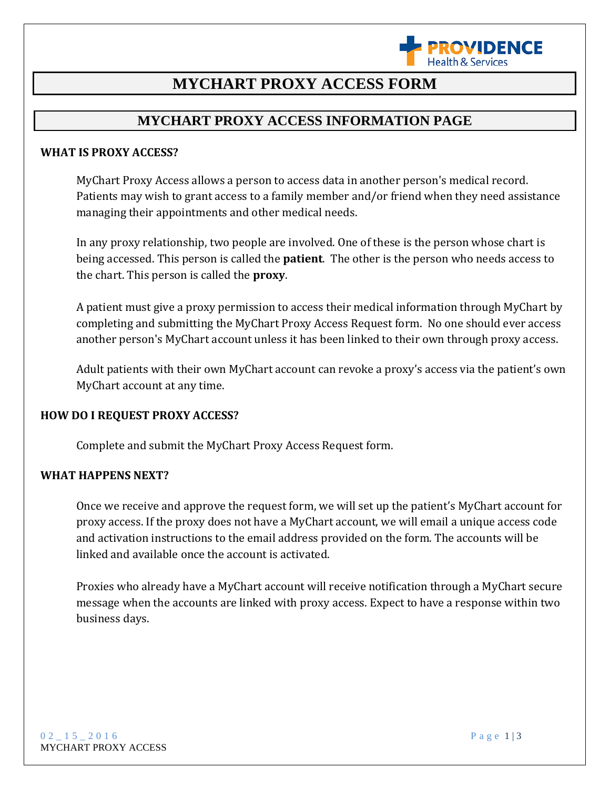

## **MYCHART PROXY ACCESS FORM**

### **MYCHART PROXY ACCESS INFORMATION PAGE**

#### **WHAT IS PROXY ACCESS?**

MyChart Proxy Access allows a person to access data in another person's medical record. Patients may wish to grant access to a family member and/or friend when they need assistance managing their appointments and other medical needs.

In any proxy relationship, two people are involved. One of these is the person whose chart is being accessed. This person is called the **patient**. The other is the person who needs access to the chart. This person is called the **proxy**.

A patient must give a proxy permission to access their medical information through MyChart by completing and submitting the MyChart Proxy Access Request form. No one should ever access another person's MyChart account unless it has been linked to their own through proxy access.

Adult patients with their own MyChart account can revoke a proxy's access via the patient's own MyChart account at any time.

#### **HOW DO I REQUEST PROXY ACCESS?**

Complete and submit the MyChart Proxy Access Request form.

#### **WHAT HAPPENS NEXT?**

Once we receive and approve the request form, we will set up the patient's MyChart account for proxy access. If the proxy does not have a MyChart account, we will email a unique access code and activation instructions to the email address provided on the form. The accounts will be linked and available once the account is activated.

Proxies who already have a MyChart account will receive notification through a MyChart secure message when the accounts are linked with proxy access. Expect to have a response within two business days.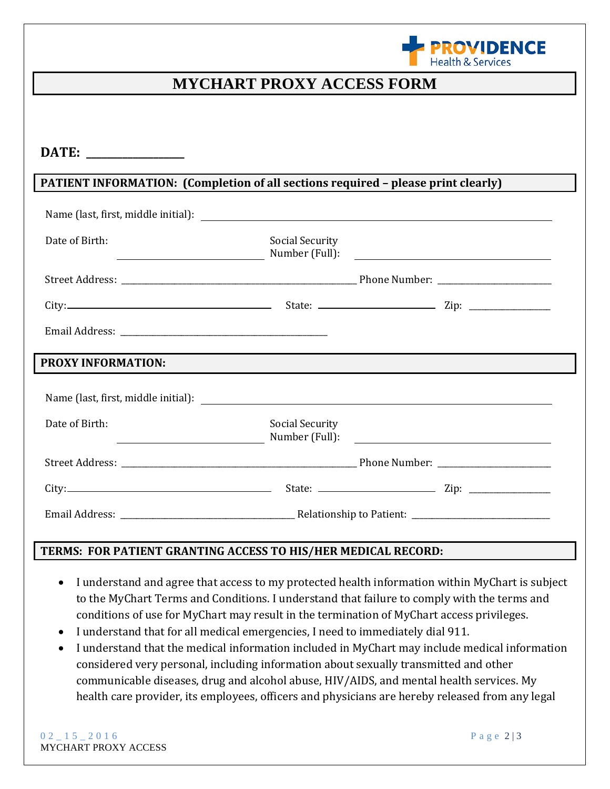

## **MYCHART PROXY ACCESS FORM**

| DATE: $\qquad \qquad$                                                                                                                                                                                                                            |                        |  |  |
|--------------------------------------------------------------------------------------------------------------------------------------------------------------------------------------------------------------------------------------------------|------------------------|--|--|
| PATIENT INFORMATION: (Completion of all sections required - please print clearly)                                                                                                                                                                |                        |  |  |
|                                                                                                                                                                                                                                                  |                        |  |  |
| Date of Birth:<br>Number (Full): 2008 2009 2010 2021 2022 2023 2024 2022 2023 2024 2022 2023 2024 2022 2023 2024 2022 2023 2024 2022 2023 2024 2022 2023 2024 2022 2023 2024 2022 2023 2024 2022 2023 2024 2022 2023 2024 2022 2023 2024 2022 20 | <b>Social Security</b> |  |  |
|                                                                                                                                                                                                                                                  |                        |  |  |
|                                                                                                                                                                                                                                                  |                        |  |  |
|                                                                                                                                                                                                                                                  |                        |  |  |
| <b>PROXY INFORMATION:</b>                                                                                                                                                                                                                        |                        |  |  |
|                                                                                                                                                                                                                                                  |                        |  |  |
| Date of Birth:                                                                                                                                                                                                                                   | <b>Social Security</b> |  |  |
|                                                                                                                                                                                                                                                  |                        |  |  |
|                                                                                                                                                                                                                                                  |                        |  |  |
|                                                                                                                                                                                                                                                  |                        |  |  |

#### **TERMS: FOR PATIENT GRANTING ACCESS TO HIS/HER MEDICAL RECORD:**

- I understand and agree that access to my protected health information within MyChart is subject to the MyChart Terms and Conditions. I understand that failure to comply with the terms and conditions of use for MyChart may result in the termination of MyChart access privileges.
- I understand that for all medical emergencies, I need to immediately dial 911.
- I understand that the medical information included in MyChart may include medical information considered very personal, including information about sexually transmitted and other communicable diseases, drug and alcohol abuse, HIV/AIDS, and mental health services. My health care provider, its employees, officers and physicians are hereby released from any legal